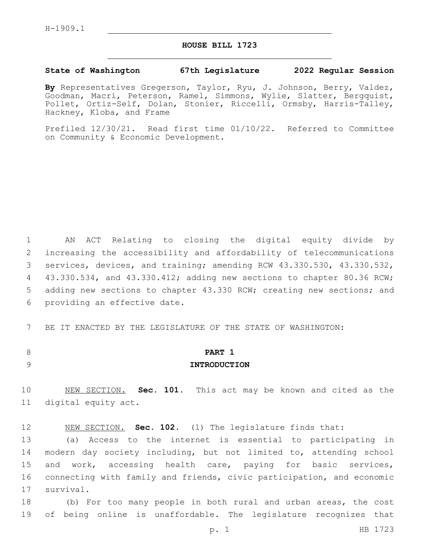### **HOUSE BILL 1723**

### **State of Washington 67th Legislature 2022 Regular Session**

**By** Representatives Gregerson, Taylor, Ryu, J. Johnson, Berry, Valdez, Goodman, Macri, Peterson, Ramel, Simmons, Wylie, Slatter, Bergquist, Pollet, Ortiz-Self, Dolan, Stonier, Riccelli, Ormsby, Harris-Talley, Hackney, Kloba, and Frame

Prefiled 12/30/21. Read first time 01/10/22. Referred to Committee on Community & Economic Development.

1 AN ACT Relating to closing the digital equity divide by 2 increasing the accessibility and affordability of telecommunications 3 services, devices, and training; amending RCW 43.330.530, 43.330.532, 4 43.330.534, and 43.330.412; adding new sections to chapter 80.36 RCW; 5 adding new sections to chapter 43.330 RCW; creating new sections; and 6 providing an effective date.

7 BE IT ENACTED BY THE LEGISLATURE OF THE STATE OF WASHINGTON:

## 8 **PART 1** 9 **INTRODUCTION**

10 NEW SECTION. **Sec. 101.** This act may be known and cited as the 11 digital equity act.

12 NEW SECTION. **Sec. 102.** (1) The legislature finds that:

13 (a) Access to the internet is essential to participating in 14 modern day society including, but not limited to, attending school 15 and work, accessing health care, paying for basic services, 16 connecting with family and friends, civic participation, and economic 17 survival.

18 (b) For too many people in both rural and urban areas, the cost 19 of being online is unaffordable. The legislature recognizes that

p. 1 HB 1723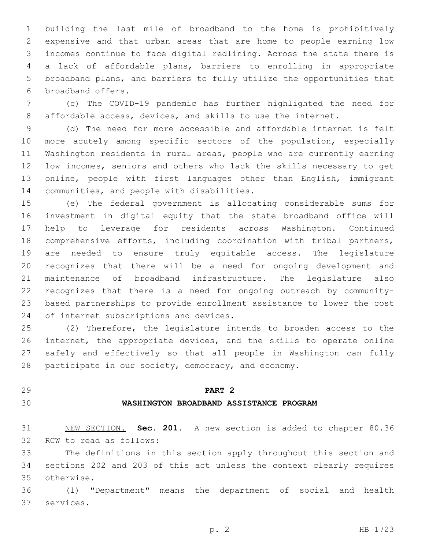building the last mile of broadband to the home is prohibitively expensive and that urban areas that are home to people earning low incomes continue to face digital redlining. Across the state there is a lack of affordable plans, barriers to enrolling in appropriate broadband plans, and barriers to fully utilize the opportunities that 6 broadband offers.

 (c) The COVID-19 pandemic has further highlighted the need for affordable access, devices, and skills to use the internet.

 (d) The need for more accessible and affordable internet is felt more acutely among specific sectors of the population, especially Washington residents in rural areas, people who are currently earning low incomes, seniors and others who lack the skills necessary to get online, people with first languages other than English, immigrant 14 communities, and people with disabilities.

 (e) The federal government is allocating considerable sums for investment in digital equity that the state broadband office will help to leverage for residents across Washington. Continued comprehensive efforts, including coordination with tribal partners, are needed to ensure truly equitable access. The legislature recognizes that there will be a need for ongoing development and maintenance of broadband infrastructure. The legislature also recognizes that there is a need for ongoing outreach by community- based partnerships to provide enrollment assistance to lower the cost 24 of internet subscriptions and devices.

 (2) Therefore, the legislature intends to broaden access to the internet, the appropriate devices, and the skills to operate online safely and effectively so that all people in Washington can fully participate in our society, democracy, and economy.

### **PART 2**

### **WASHINGTON BROADBAND ASSISTANCE PROGRAM**

 NEW SECTION. **Sec. 201.** A new section is added to chapter 80.36 32 RCW to read as follows:

 The definitions in this section apply throughout this section and sections 202 and 203 of this act unless the context clearly requires otherwise.35

 (1) "Department" means the department of social and health 37 services.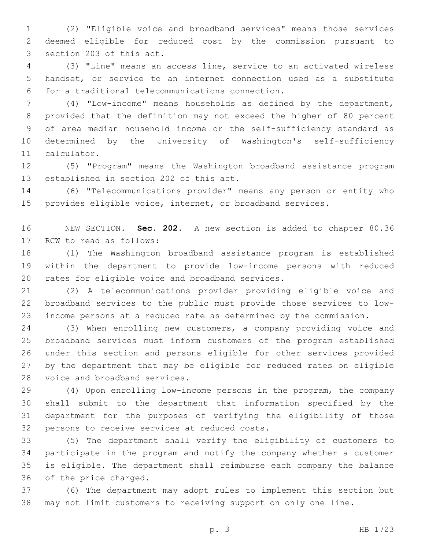(2) "Eligible voice and broadband services" means those services deemed eligible for reduced cost by the commission pursuant to 3 section 203 of this act.

 (3) "Line" means an access line, service to an activated wireless handset, or service to an internet connection used as a substitute for a traditional telecommunications connection.6

 (4) "Low-income" means households as defined by the department, provided that the definition may not exceed the higher of 80 percent of area median household income or the self-sufficiency standard as determined by the University of Washington's self-sufficiency 11 calculator.

 (5) "Program" means the Washington broadband assistance program 13 established in section 202 of this act.

 (6) "Telecommunications provider" means any person or entity who provides eligible voice, internet, or broadband services.

 NEW SECTION. **Sec. 202.** A new section is added to chapter 80.36 17 RCW to read as follows:

 (1) The Washington broadband assistance program is established within the department to provide low-income persons with reduced 20 rates for eligible voice and broadband services.

 (2) A telecommunications provider providing eligible voice and broadband services to the public must provide those services to low-income persons at a reduced rate as determined by the commission.

 (3) When enrolling new customers, a company providing voice and broadband services must inform customers of the program established under this section and persons eligible for other services provided by the department that may be eligible for reduced rates on eligible 28 voice and broadband services.

 (4) Upon enrolling low-income persons in the program, the company shall submit to the department that information specified by the department for the purposes of verifying the eligibility of those 32 persons to receive services at reduced costs.

 (5) The department shall verify the eligibility of customers to participate in the program and notify the company whether a customer is eligible. The department shall reimburse each company the balance 36 of the price charged.

 (6) The department may adopt rules to implement this section but may not limit customers to receiving support on only one line.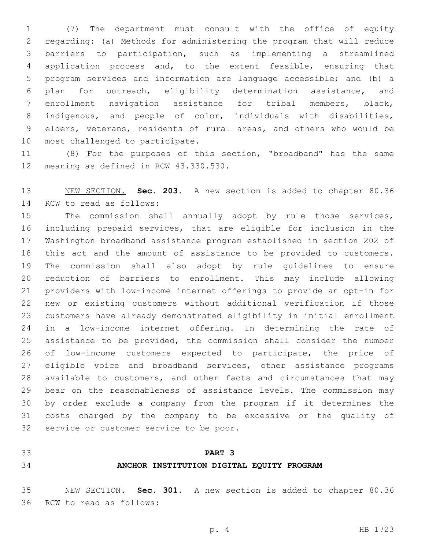(7) The department must consult with the office of equity regarding: (a) Methods for administering the program that will reduce barriers to participation, such as implementing a streamlined application process and, to the extent feasible, ensuring that program services and information are language accessible; and (b) a plan for outreach, eligibility determination assistance, and enrollment navigation assistance for tribal members, black, indigenous, and people of color, individuals with disabilities, elders, veterans, residents of rural areas, and others who would be 10 most challenged to participate.

 (8) For the purposes of this section, "broadband" has the same 12 meaning as defined in RCW 43.330.530.

 NEW SECTION. **Sec. 203.** A new section is added to chapter 80.36 14 RCW to read as follows:

 The commission shall annually adopt by rule those services, including prepaid services, that are eligible for inclusion in the Washington broadband assistance program established in section 202 of this act and the amount of assistance to be provided to customers. The commission shall also adopt by rule guidelines to ensure reduction of barriers to enrollment. This may include allowing providers with low-income internet offerings to provide an opt-in for new or existing customers without additional verification if those customers have already demonstrated eligibility in initial enrollment in a low-income internet offering. In determining the rate of assistance to be provided, the commission shall consider the number of low-income customers expected to participate, the price of 27 eligible voice and broadband services, other assistance programs available to customers, and other facts and circumstances that may bear on the reasonableness of assistance levels. The commission may by order exclude a company from the program if it determines the costs charged by the company to be excessive or the quality of 32 service or customer service to be poor.

### **PART 3**

### **ANCHOR INSTITUTION DIGITAL EQUITY PROGRAM**

 NEW SECTION. **Sec. 301.** A new section is added to chapter 80.36 36 RCW to read as follows: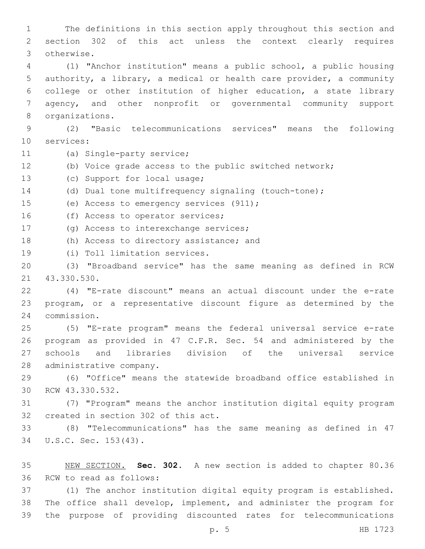1 The definitions in this section apply throughout this section and 2 section 302 of this act unless the context clearly requires otherwise.3 4 (1) "Anchor institution" means a public school, a public housing 5 authority, a library, a medical or health care provider, a community 6 college or other institution of higher education, a state library 7 agency, and other nonprofit or governmental community support 8 organizations. 9 (2) "Basic telecommunications services" means the following 10 services: 11 (a) Single-party service; 12 (b) Voice grade access to the public switched network; 13 (c) Support for local usage; 14 (d) Dual tone multifrequency signaling (touch-tone); 15 (e) Access to emergency services (911); 16 (f) Access to operator services; 17 (g) Access to interexchange services; 18 (h) Access to directory assistance; and 19 (i) Toll limitation services. 20 (3) "Broadband service" has the same meaning as defined in RCW 21 43.330.530. 22 (4) "E-rate discount" means an actual discount under the e-rate 23 program, or a representative discount figure as determined by the commission.24 25 (5) "E-rate program" means the federal universal service e-rate 26 program as provided in 47 C.F.R. Sec. 54 and administered by the 27 schools and libraries division of the universal service 28 administrative company. 29 (6) "Office" means the statewide broadband office established in 30 RCW 43.330.532. 31 (7) "Program" means the anchor institution digital equity program 32 created in section 302 of this act. 33 (8) "Telecommunications" has the same meaning as defined in 47 34 U.S.C. Sec. 153(43). 35 NEW SECTION. **Sec. 302.** A new section is added to chapter 80.36 36 RCW to read as follows:

37 (1) The anchor institution digital equity program is established. 38 The office shall develop, implement, and administer the program for 39 the purpose of providing discounted rates for telecommunications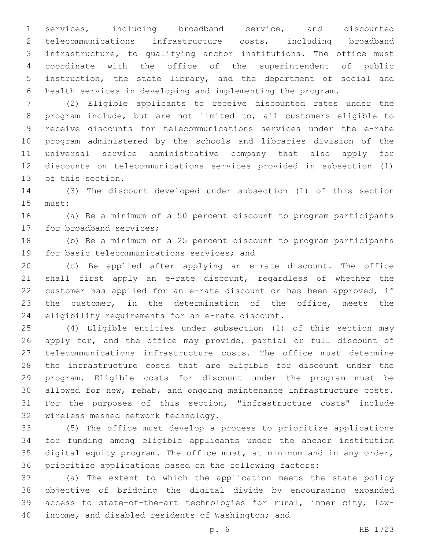services, including broadband service, and discounted telecommunications infrastructure costs, including broadband infrastructure, to qualifying anchor institutions. The office must coordinate with the office of the superintendent of public instruction, the state library, and the department of social and health services in developing and implementing the program.

 (2) Eligible applicants to receive discounted rates under the program include, but are not limited to, all customers eligible to receive discounts for telecommunications services under the e-rate program administered by the schools and libraries division of the universal service administrative company that also apply for discounts on telecommunications services provided in subsection (1) 13 of this section.

 (3) The discount developed under subsection (1) of this section 15 must:

 (a) Be a minimum of a 50 percent discount to program participants 17 for broadband services;

 (b) Be a minimum of a 25 percent discount to program participants 19 for basic telecommunications services; and

 (c) Be applied after applying an e-rate discount. The office shall first apply an e-rate discount, regardless of whether the customer has applied for an e-rate discount or has been approved, if the customer, in the determination of the office, meets the 24 eligibility requirements for an e-rate discount.

 (4) Eligible entities under subsection (1) of this section may apply for, and the office may provide, partial or full discount of telecommunications infrastructure costs. The office must determine the infrastructure costs that are eligible for discount under the program. Eligible costs for discount under the program must be allowed for new, rehab, and ongoing maintenance infrastructure costs. For the purposes of this section, "infrastructure costs" include 32 wireless meshed network technology.

 (5) The office must develop a process to prioritize applications for funding among eligible applicants under the anchor institution digital equity program. The office must, at minimum and in any order, prioritize applications based on the following factors:

 (a) The extent to which the application meets the state policy objective of bridging the digital divide by encouraging expanded access to state-of-the-art technologies for rural, inner city, low-40 income, and disabled residents of Washington; and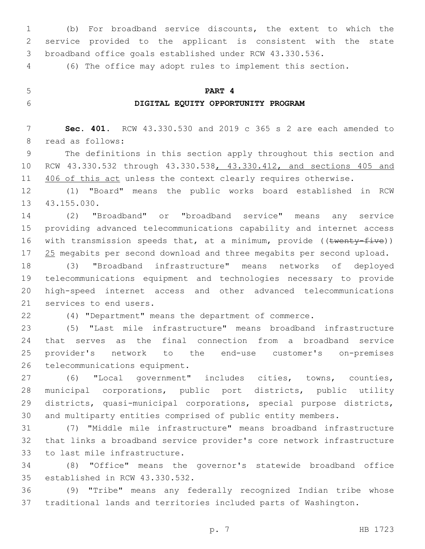(b) For broadband service discounts, the extent to which the service provided to the applicant is consistent with the state broadband office goals established under RCW 43.330.536.

(6) The office may adopt rules to implement this section.

**PART 4**

# **DIGITAL EQUITY OPPORTUNITY PROGRAM**

 **Sec. 401.** RCW 43.330.530 and 2019 c 365 s 2 are each amended to 8 read as follows:

 The definitions in this section apply throughout this section and RCW 43.330.532 through 43.330.538, 43.330.412, and sections 405 and 11 406 of this act unless the context clearly requires otherwise.

 (1) "Board" means the public works board established in RCW 13 43.155.030.

 (2) "Broadband" or "broadband service" means any service providing advanced telecommunications capability and internet access 16 with transmission speeds that, at a minimum, provide ((twenty-five)) 17 25 megabits per second download and three megabits per second upload.

 (3) "Broadband infrastructure" means networks of deployed telecommunications equipment and technologies necessary to provide high-speed internet access and other advanced telecommunications 21 services to end users.

(4) "Department" means the department of commerce.

 (5) "Last mile infrastructure" means broadband infrastructure that serves as the final connection from a broadband service provider's network to the end-use customer's on-premises 26 telecommunications equipment.

 (6) "Local government" includes cities, towns, counties, municipal corporations, public port districts, public utility districts, quasi-municipal corporations, special purpose districts, and multiparty entities comprised of public entity members.

 (7) "Middle mile infrastructure" means broadband infrastructure that links a broadband service provider's core network infrastructure 33 to last mile infrastructure.

 (8) "Office" means the governor's statewide broadband office 35 established in RCW 43.330.532.

 (9) "Tribe" means any federally recognized Indian tribe whose traditional lands and territories included parts of Washington.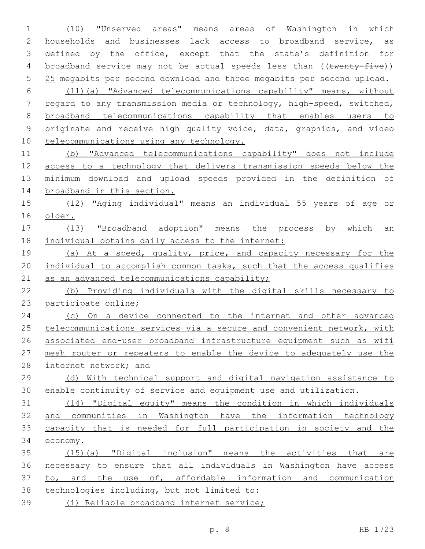(10) "Unserved areas" means areas of Washington in which households and businesses lack access to broadband service, as defined by the office, except that the state's definition for 4 broadband service may not be actual speeds less than ((twenty-five)) 5 25 megabits per second download and three megabits per second upload. (11)(a) "Advanced telecommunications capability" means, without regard to any transmission media or technology, high-speed, switched, broadband telecommunications capability that enables users to originate and receive high quality voice, data, graphics, and video 10 telecommunications using any technology. (b) "Advanced telecommunications capability" does not include access to a technology that delivers transmission speeds below the minimum download and upload speeds provided in the definition of broadband in this section. (12) "Aging individual" means an individual 55 years of age or older. (13) "Broadband adoption" means the process by which an individual obtains daily access to the internet: (a) At a speed, quality, price, and capacity necessary for the 20 individual to accomplish common tasks, such that the access qualifies 21 as an advanced telecommunications capability; (b) Providing individuals with the digital skills necessary to participate online; 24 (c) On a device connected to the internet and other advanced telecommunications services via a secure and convenient network, with associated end-user broadband infrastructure equipment such as wifi mesh router or repeaters to enable the device to adequately use the 28 internet network; and (d) With technical support and digital navigation assistance to enable continuity of service and equipment use and utilization. (14) "Digital equity" means the condition in which individuals and communities in Washington have the information technology capacity that is needed for full participation in society and the economy. (15)(a) "Digital inclusion" means the activities that are necessary to ensure that all individuals in Washington have access 37 to, and the use of, affordable information and communication technologies including, but not limited to: (i) Reliable broadband internet service;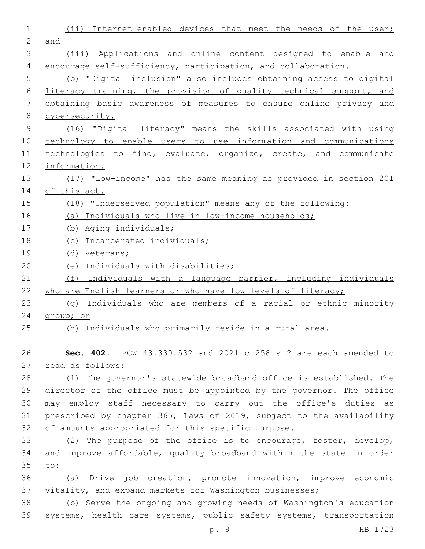| $\mathbf 1$   | Internet-enabled devices that meet the needs of the user;<br>(iii) |
|---------------|--------------------------------------------------------------------|
| 2             | and                                                                |
| 3             | (iii) Applications and online content designed to enable and       |
| 4             | encourage self-sufficiency, participation, and collaboration.      |
| 5             | (b) "Digital inclusion" also includes obtaining access to digital  |
| 6             | literacy training, the provision of quality technical support, and |
| 7             | obtaining basic awareness of measures to ensure online privacy and |
| 8             | cybersecurity.                                                     |
| $\mathcal{G}$ | (16) "Digital literacy" means the skills associated with using     |
| 10            | technology to enable users to use information and communications   |
| 11            | technologies to find, evaluate, organize, create, and communicate  |
| 12            | information.                                                       |
| 13            | (17) "Low-income" has the same meaning as provided in section 201  |
| 14            | of this act.                                                       |
| 15            | (18) "Underserved population" means any of the following:          |
| 16            | (a) Individuals who live in low-income households;                 |
| 17            | (b) Aging individuals;                                             |
| 18            | (c) Incarcerated individuals;                                      |
| 19            | (d) Veterans;                                                      |
| 20            | (e) Individuals with disabilities;                                 |
| 21            | Individuals with a language barrier, including individuals<br>(f)  |
| 22            | who are English learners or who have low levels of literacy;       |
| 23            | Individuals who are members of a racial or ethnic minority<br>(q)  |
| 24            | group; or                                                          |
| 25            | (h) Individuals who primarily reside in a rural area.              |

26 **Sec. 402.** RCW 43.330.532 and 2021 c 258 s 2 are each amended to 27 read as follows:

 (1) The governor's statewide broadband office is established. The director of the office must be appointed by the governor. The office may employ staff necessary to carry out the office's duties as prescribed by chapter 365, Laws of 2019, subject to the availability of amounts appropriated for this specific purpose.

33 (2) The purpose of the office is to encourage, foster, develop, 34 and improve affordable, quality broadband within the state in order 35 to:

36 (a) Drive job creation, promote innovation, improve economic 37 vitality, and expand markets for Washington businesses;

38 (b) Serve the ongoing and growing needs of Washington's education 39 systems, health care systems, public safety systems, transportation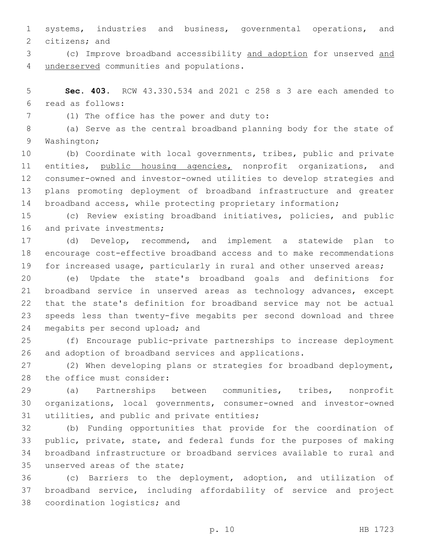systems, industries and business, governmental operations, and 2 citizens; and

 (c) Improve broadband accessibility and adoption for unserved and 4 underserved communities and populations.

 **Sec. 403.** RCW 43.330.534 and 2021 c 258 s 3 are each amended to read as follows:6

(1) The office has the power and duty to:7

 (a) Serve as the central broadband planning body for the state of 9 Washington;

 (b) Coordinate with local governments, tribes, public and private 11 entities, public housing agencies, nonprofit organizations, and consumer-owned and investor-owned utilities to develop strategies and plans promoting deployment of broadband infrastructure and greater broadband access, while protecting proprietary information;

 (c) Review existing broadband initiatives, policies, and public 16 and private investments;

 (d) Develop, recommend, and implement a statewide plan to encourage cost-effective broadband access and to make recommendations for increased usage, particularly in rural and other unserved areas;

 (e) Update the state's broadband goals and definitions for broadband service in unserved areas as technology advances, except that the state's definition for broadband service may not be actual speeds less than twenty-five megabits per second download and three 24 megabits per second upload; and

 (f) Encourage public-private partnerships to increase deployment and adoption of broadband services and applications.

 (2) When developing plans or strategies for broadband deployment, 28 the office must consider:

 (a) Partnerships between communities, tribes, nonprofit organizations, local governments, consumer-owned and investor-owned 31 utilities, and public and private entities;

 (b) Funding opportunities that provide for the coordination of public, private, state, and federal funds for the purposes of making broadband infrastructure or broadband services available to rural and 35 unserved areas of the state;

 (c) Barriers to the deployment, adoption, and utilization of broadband service, including affordability of service and project 38 coordination logistics; and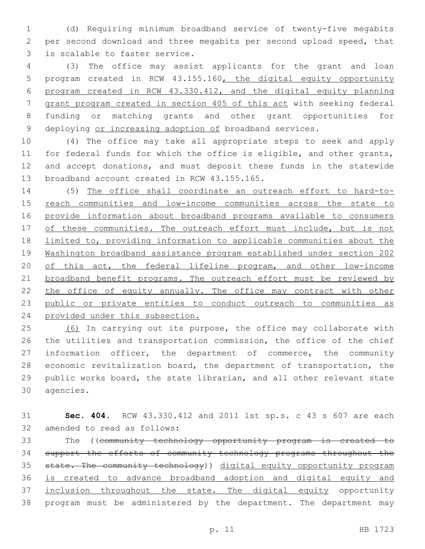(d) Requiring minimum broadband service of twenty-five megabits per second download and three megabits per second upload speed, that 3 is scalable to faster service.

 (3) The office may assist applicants for the grant and loan program created in RCW 43.155.160, the digital equity opportunity program created in RCW 43.330.412, and the digital equity planning grant program created in section 405 of this act with seeking federal funding or matching grants and other grant opportunities for 9 deploying or increasing adoption of broadband services.

 (4) The office may take all appropriate steps to seek and apply for federal funds for which the office is eligible, and other grants, and accept donations, and must deposit these funds in the statewide 13 broadband account created in RCW 43.155.165.

 (5) The office shall coordinate an outreach effort to hard-to-15 reach communities and low-income communities across the state to provide information about broadband programs available to consumers 17 of these communities. The outreach effort must include, but is not limited to, providing information to applicable communities about the Washington broadband assistance program established under section 202 20 of this act, the federal lifeline program, and other low-income 21 broadband benefit programs. The outreach effort must be reviewed by 22 the office of equity annually. The office may contract with other public or private entities to conduct outreach to communities as provided under this subsection.

25 (6) In carrying out its purpose, the office may collaborate with the utilities and transportation commission, the office of the chief information officer, the department of commerce, the community economic revitalization board, the department of transportation, the public works board, the state librarian, and all other relevant state 30 agencies.

 **Sec. 404.** RCW 43.330.412 and 2011 1st sp.s. c 43 s 607 are each 32 amended to read as follows:

 The ((community technology opportunity program is created to support the efforts of community technology programs throughout the state. The community technology)) digital equity opportunity program is created to advance broadband adoption and digital equity and 37 inclusion throughout the state. The digital equity opportunity program must be administered by the department. The department may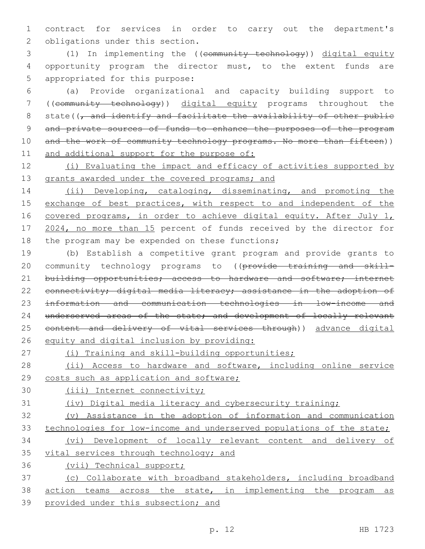1 contract for services in order to carry out the department's 2 obligations under this section.

3 (1) In implementing the ((community technology)) digital equity 4 opportunity program the director must, to the extent funds are 5 appropriated for this purpose:

6 (a) Provide organizational and capacity building support to 7 ((community technology)) digital equity programs throughout the 8 state( $\sqrt{7}$  and identify and facilitate the availability of other public 9 and private sources of funds to enhance the purposes of the program 10 and the work of community technology programs. No more than fifteen)) 11 and additional support for the purpose of:

12 (i) Evaluating the impact and efficacy of activities supported by 13 grants awarded under the covered programs; and

14 (ii) Developing, cataloging, disseminating, and promoting the 15 exchange of best practices, with respect to and independent of the 16 covered programs, in order to achieve digital equity. After July 1, 17 2024, no more than 15 percent of funds received by the director for 18 the program may be expended on these functions;

19 (b) Establish a competitive grant program and provide grants to 20 community technology programs to ((provide training and skill-21 building opportunities; access to hardware and software; internet 22 connectivity; digital media literacy; assistance in the adoption of 23 information and communication technologies in low-income and 24 underserved areas of the state; and development of locally relevant 25 content and delivery of vital services through)) advance digital 26 equity and digital inclusion by providing:

27 (i) Training and skill-building opportunities;

28 (ii) Access to hardware and software, including online service 29 costs such as application and software;

30 (iii) Internet connectivity;

31 (iv) Digital media literacy and cybersecurity training;

32 (v) Assistance in the adoption of information and communication 33 technologies for low-income and underserved populations of the state;

34 (vi) Development of locally relevant content and delivery of 35 vital services through technology; and

36 (vii) Technical support;

37 (c) Collaborate with broadband stakeholders, including broadband 38 action teams across the state, in implementing the program as 39 provided under this subsection; and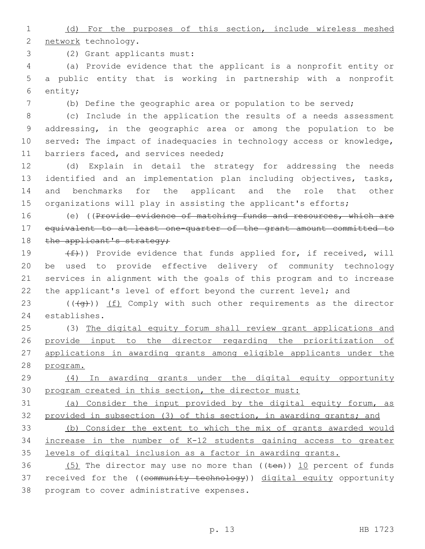(d) For the purposes of this section, include wireless meshed 2 network technology.

(2) Grant applicants must:3

 (a) Provide evidence that the applicant is a nonprofit entity or a public entity that is working in partnership with a nonprofit 6 entity;

(b) Define the geographic area or population to be served;

 (c) Include in the application the results of a needs assessment addressing, in the geographic area or among the population to be served: The impact of inadequacies in technology access or knowledge, 11 barriers faced, and services needed;

 (d) Explain in detail the strategy for addressing the needs identified and an implementation plan including objectives, tasks, and benchmarks for the applicant and the role that other organizations will play in assisting the applicant's efforts;

16 (e) ((Provide evidence of matching funds and resources, which are equivalent to at least one-quarter of the grant amount committed to 18 the applicant's strategy;

 $(f)$ ) Provide evidence that funds applied for, if received, will be used to provide effective delivery of community technology services in alignment with the goals of this program and to increase the applicant's level of effort beyond the current level; and

23  $((\overline{q}))(f)$  Comply with such other requirements as the director 24 establishes.

 (3) The digital equity forum shall review grant applications and provide input to the director regarding the prioritization of applications in awarding grants among eligible applicants under the program.

 (4) In awarding grants under the digital equity opportunity program created in this section, the director must:

 (a) Consider the input provided by the digital equity forum, as provided in subsection (3) of this section, in awarding grants; and

 (b) Consider the extent to which the mix of grants awarded would increase in the number of K-12 students gaining access to greater levels of digital inclusion as a factor in awarding grants.

36  $(5)$  The director may use no more than  $((\text{ten}))$  10 percent of funds 37 received for the ((community technology)) digital equity opportunity 38 program to cover administrative expenses.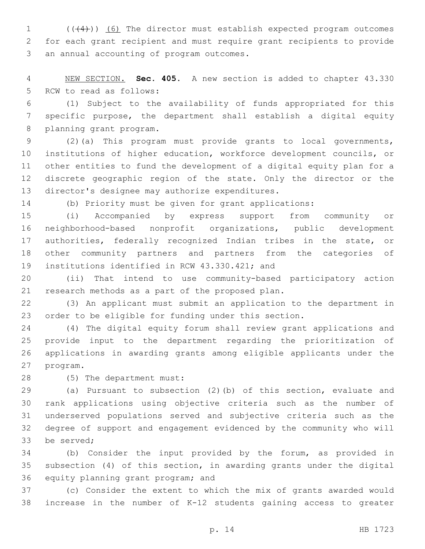1 (((4))) (6) The director must establish expected program outcomes for each grant recipient and must require grant recipients to provide 3 an annual accounting of program outcomes.

 NEW SECTION. **Sec. 405.** A new section is added to chapter 43.330 5 RCW to read as follows:

 (1) Subject to the availability of funds appropriated for this specific purpose, the department shall establish a digital equity 8 planning grant program.

 (2)(a) This program must provide grants to local governments, institutions of higher education, workforce development councils, or other entities to fund the development of a digital equity plan for a discrete geographic region of the state. Only the director or the 13 director's designee may authorize expenditures.

(b) Priority must be given for grant applications:

 (i) Accompanied by express support from community or neighborhood-based nonprofit organizations, public development authorities, federally recognized Indian tribes in the state, or other community partners and partners from the categories of 19 institutions identified in RCW 43.330.421; and

 (ii) That intend to use community-based participatory action 21 research methods as a part of the proposed plan.

 (3) An applicant must submit an application to the department in order to be eligible for funding under this section.

 (4) The digital equity forum shall review grant applications and provide input to the department regarding the prioritization of applications in awarding grants among eligible applicants under the 27 program.

28 (5) The department must:

 (a) Pursuant to subsection (2)(b) of this section, evaluate and rank applications using objective criteria such as the number of underserved populations served and subjective criteria such as the degree of support and engagement evidenced by the community who will 33 be served;

 (b) Consider the input provided by the forum, as provided in subsection (4) of this section, in awarding grants under the digital 36 equity planning grant program; and

 (c) Consider the extent to which the mix of grants awarded would increase in the number of K-12 students gaining access to greater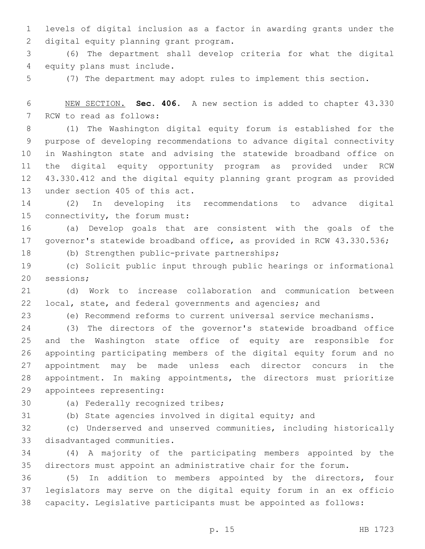levels of digital inclusion as a factor in awarding grants under the 2 digital equity planning grant program.

 (6) The department shall develop criteria for what the digital 4 equity plans must include.

(7) The department may adopt rules to implement this section.

 NEW SECTION. **Sec. 406.** A new section is added to chapter 43.330 7 RCW to read as follows:

 (1) The Washington digital equity forum is established for the purpose of developing recommendations to advance digital connectivity in Washington state and advising the statewide broadband office on the digital equity opportunity program as provided under RCW 43.330.412 and the digital equity planning grant program as provided 13 under section 405 of this act.

 (2) In developing its recommendations to advance digital 15 connectivity, the forum must:

 (a) Develop goals that are consistent with the goals of the governor's statewide broadband office, as provided in RCW 43.330.536;

18 (b) Strengthen public-private partnerships;

 (c) Solicit public input through public hearings or informational 20 sessions;

 (d) Work to increase collaboration and communication between local, state, and federal governments and agencies; and

(e) Recommend reforms to current universal service mechanisms.

 (3) The directors of the governor's statewide broadband office and the Washington state office of equity are responsible for appointing participating members of the digital equity forum and no appointment may be made unless each director concurs in the appointment. In making appointments, the directors must prioritize 29 appointees representing:

30 (a) Federally recognized tribes;

(b) State agencies involved in digital equity; and

 (c) Underserved and unserved communities, including historically 33 disadvantaged communities.

 (4) A majority of the participating members appointed by the directors must appoint an administrative chair for the forum.

 (5) In addition to members appointed by the directors, four legislators may serve on the digital equity forum in an ex officio capacity. Legislative participants must be appointed as follows: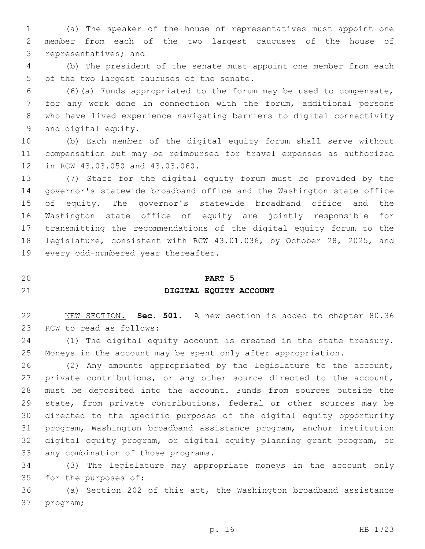(a) The speaker of the house of representatives must appoint one member from each of the two largest caucuses of the house of 3 representatives; and

 (b) The president of the senate must appoint one member from each 5 of the two largest caucuses of the senate.

 (6)(a) Funds appropriated to the forum may be used to compensate, for any work done in connection with the forum, additional persons who have lived experience navigating barriers to digital connectivity 9 and digital equity.

 (b) Each member of the digital equity forum shall serve without compensation but may be reimbursed for travel expenses as authorized 12 in RCW 43.03.050 and 43.03.060.

 (7) Staff for the digital equity forum must be provided by the governor's statewide broadband office and the Washington state office of equity. The governor's statewide broadband office and the Washington state office of equity are jointly responsible for transmitting the recommendations of the digital equity forum to the legislature, consistent with RCW 43.01.036, by October 28, 2025, and 19 every odd-numbered year thereafter.

### **PART 5**

### **DIGITAL EQUITY ACCOUNT**

 NEW SECTION. **Sec. 501.** A new section is added to chapter 80.36 23 RCW to read as follows:

 (1) The digital equity account is created in the state treasury. Moneys in the account may be spent only after appropriation.

 (2) Any amounts appropriated by the legislature to the account, private contributions, or any other source directed to the account, must be deposited into the account. Funds from sources outside the state, from private contributions, federal or other sources may be directed to the specific purposes of the digital equity opportunity program, Washington broadband assistance program, anchor institution digital equity program, or digital equity planning grant program, or 33 any combination of those programs.

 (3) The legislature may appropriate moneys in the account only 35 for the purposes of:

 (a) Section 202 of this act, the Washington broadband assistance 37 program;